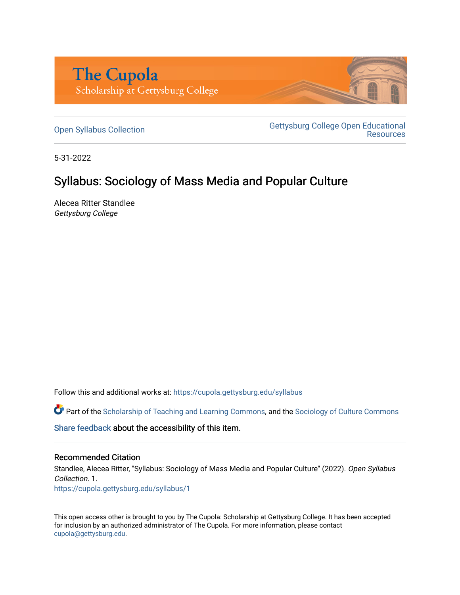

[Open Syllabus Collection](https://cupola.gettysburg.edu/syllabus) Gettysburg College Open Educational **Resources** 

5-31-2022

# Syllabus: Sociology of Mass Media and Popular Culture

Alecea Ritter Standlee Gettysburg College

Follow this and additional works at: [https://cupola.gettysburg.edu/syllabus](https://cupola.gettysburg.edu/syllabus?utm_source=cupola.gettysburg.edu%2Fsyllabus%2F1&utm_medium=PDF&utm_campaign=PDFCoverPages) 

Part of the [Scholarship of Teaching and Learning Commons,](https://network.bepress.com/hgg/discipline/1328?utm_source=cupola.gettysburg.edu%2Fsyllabus%2F1&utm_medium=PDF&utm_campaign=PDFCoverPages) and the Sociology of Culture Commons

[Share feedback](https://docs.google.com/a/bepress.com/forms/d/1h9eEcpBPj5POs5oO6Y5A0blXRmZqykoonyYiZUNyEq8/viewform) about the accessibility of this item.

#### Recommended Citation

Standlee, Alecea Ritter, "Syllabus: Sociology of Mass Media and Popular Culture" (2022). Open Syllabus Collection. 1.

[https://cupola.gettysburg.edu/syllabus/1](https://cupola.gettysburg.edu/syllabus/1?utm_source=cupola.gettysburg.edu%2Fsyllabus%2F1&utm_medium=PDF&utm_campaign=PDFCoverPages) 

This open access other is brought to you by The Cupola: Scholarship at Gettysburg College. It has been accepted for inclusion by an authorized administrator of The Cupola. For more information, please contact [cupola@gettysburg.edu.](mailto:cupola@gettysburg.edu)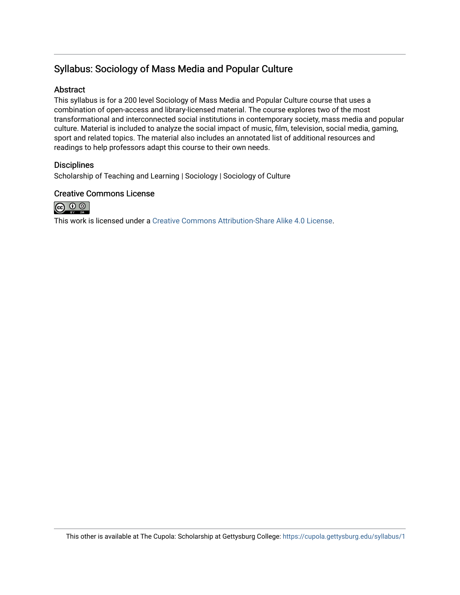## Syllabus: Sociology of Mass Media and Popular Culture

#### Abstract

This syllabus is for a 200 level Sociology of Mass Media and Popular Culture course that uses a combination of open-access and library-licensed material. The course explores two of the most transformational and interconnected social institutions in contemporary society, mass media and popular culture. Material is included to analyze the social impact of music, film, television, social media, gaming, sport and related topics. The material also includes an annotated list of additional resources and readings to help professors adapt this course to their own needs.

#### **Disciplines**

Scholarship of Teaching and Learning | Sociology | Sociology of Culture

#### Creative Commons License



This work is licensed under a [Creative Commons Attribution-Share Alike 4.0 License.](https://creativecommons.org/licenses/by-sa/4.0/)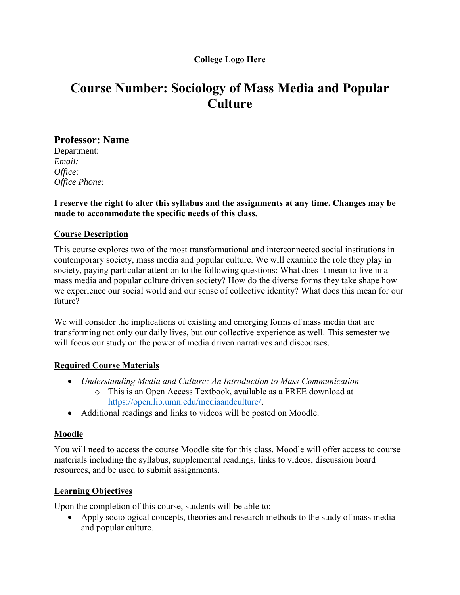## **College Logo Here**

# **Course Number: Sociology of Mass Media and Popular Culture**

## **Professor: Name**

Department: *Email: Office: Office Phone:*

**I reserve the right to alter this syllabus and the assignments at any time. Changes may be made to accommodate the specific needs of this class.**

## **Course Description**

This course explores two of the most transformational and interconnected social institutions in contemporary society, mass media and popular culture. We will examine the role they play in society, paying particular attention to the following questions: What does it mean to live in a mass media and popular culture driven society? How do the diverse forms they take shape how we experience our social world and our sense of collective identity? What does this mean for our future?

We will consider the implications of existing and emerging forms of mass media that are transforming not only our daily lives, but our collective experience as well. This semester we will focus our study on the power of media driven narratives and discourses.

## **Required Course Materials**

- *Understanding Media and Culture: An Introduction to Mass Communication* o This is an Open Access Textbook, available as a FREE download at
	- [https://open.lib.umn.edu/mediaandculture/.](https://open.lib.umn.edu/mediaandculture/)
- Additional readings and links to videos will be posted on Moodle.

## **Moodle**

You will need to access the course Moodle site for this class. Moodle will offer access to course materials including the syllabus, supplemental readings, links to videos, discussion board resources, and be used to submit assignments.

## **Learning Objectives**

Upon the completion of this course, students will be able to:

• Apply sociological concepts, theories and research methods to the study of mass media and popular culture.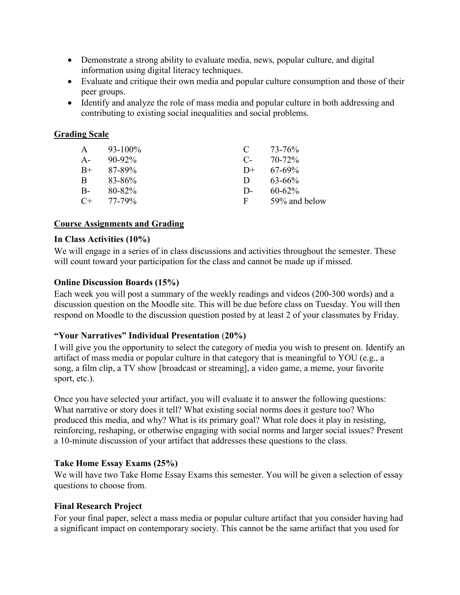- Demonstrate a strong ability to evaluate media, news, popular culture, and digital information using digital literacy techniques.
- Evaluate and critique their own media and popular culture consumption and those of their peer groups.
- Identify and analyze the role of mass media and popular culture in both addressing and contributing to existing social inequalities and social problems.

## **Grading Scale**

| A     | $93-100\%$  | $\mathbf C$ | 73-76%        |
|-------|-------------|-------------|---------------|
| $A -$ | $90 - 92\%$ | $C_{\tau}$  | $70 - 72\%$   |
| $B+$  | 87-89%      | $D+$        | $67-69\%$     |
| B     | 83-86%      | Ð           | $63 - 66\%$   |
| $B -$ | 80-82%      | D-          | $60 - 62\%$   |
| $C+$  | 77-79%      | F           | 59% and below |

## **Course Assignments and Grading**

## **In Class Activities (10%)**

We will engage in a series of in class discussions and activities throughout the semester. These will count toward your participation for the class and cannot be made up if missed.

## **Online Discussion Boards (15%)**

Each week you will post a summary of the weekly readings and videos (200-300 words) and a discussion question on the Moodle site. This will be due before class on Tuesday. You will then respond on Moodle to the discussion question posted by at least 2 of your classmates by Friday.

## **"Your Narratives" Individual Presentation** (**20%)**

I will give you the opportunity to select the category of media you wish to present on. Identify an artifact of mass media or popular culture in that category that is meaningful to YOU (e.g., a song, a film clip, a TV show [broadcast or streaming], a video game, a meme, your favorite sport, etc.).

Once you have selected your artifact, you will evaluate it to answer the following questions: What narrative or story does it tell? What existing social norms does it gesture too? Who produced this media, and why? What is its primary goal? What role does it play in resisting, reinforcing, reshaping, or otherwise engaging with social norms and larger social issues? Present a 10-minute discussion of your artifact that addresses these questions to the class.

## **Take Home Essay Exams (25%)**

We will have two Take Home Essay Exams this semester. You will be given a selection of essay questions to choose from.

## **Final Research Project**

For your final paper, select a mass media or popular culture artifact that you consider having had a significant impact on contemporary society. This cannot be the same artifact that you used for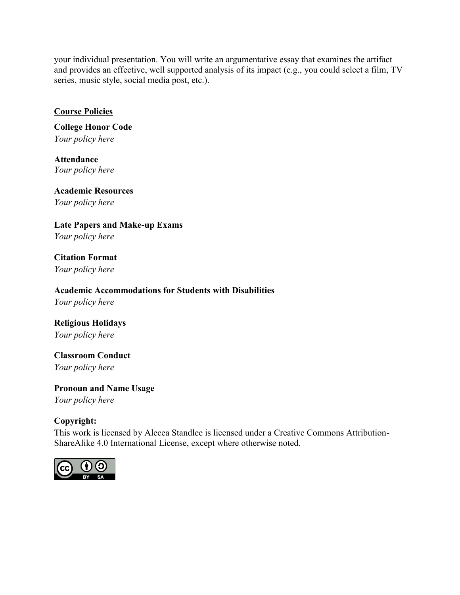your individual presentation. You will write an argumentative essay that examines the artifact and provides an effective, well supported analysis of its impact (e.g., you could select a film, TV series, music style, social media post, etc.).

## **Course Policies**

**College Honor Code** *Your policy here*

**Attendance** *Your policy here*

**Academic Resources** *Your policy here*

**Late Papers and Make-up Exams**  *Your policy here*

**Citation Format** *Your policy here*

**Academic Accommodations for Students with Disabilities**

*Your policy here*

**Religious Holidays** *Your policy here*

**Classroom Conduct** *Your policy here*

**Pronoun and Name Usage** *Your policy here*

## **Copyright:**

This work is licensed by Alecea Standlee is licensed under a Creative Commons Attribution-ShareAlike 4.0 International License, except where otherwise noted.

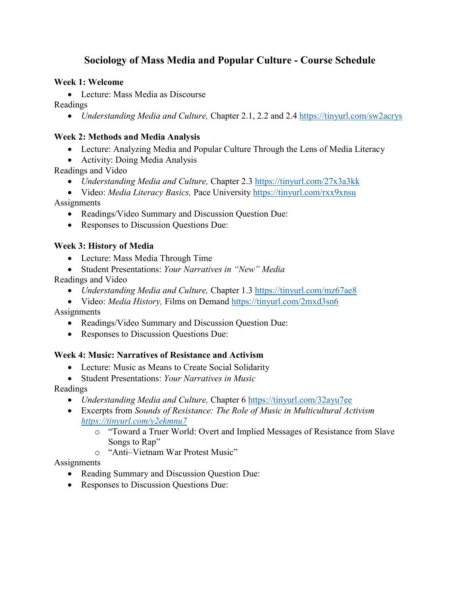## **Sociology of Mass Media and Popular Culture - Course Schedule**

## **Week 1: Welcome**

Lecture: Mass Media as Discourse

Readings

• *Understanding Media and Culture, Chapter 2.1, 2.2 and 2.4<https://tinyurl.com/sw2acrys>* 

## **Week 2: Methods and Media Analysis**

- Lecture: Analyzing Media and Popular Culture Through the Lens of Media Literacy
- Activity: Doing Media Analysis
- Readings and Video
	- *Understanding Media and Culture,* Chapter 2.3 <https://tinyurl.com/27x3a3kk>
- Video: *Media Literacy Basics,* Pace University <https://tinyurl.com/rxx9xnsu> **Assignments** 
	- Readings/Video Summary and Discussion Question Due:
	- Responses to Discussion Questions Due:

## **Week 3: History of Media**

- Lecture: Mass Media Through Time
- Student Presentations: *Your Narratives in "New" Media*

## Readings and Video

- *Understanding Media and Culture, Chapter 1.3 <https://tinyurl.com/mz67ae8>*
- Video: *Media History,* Films on Demand <https://tinyurl.com/2mxd3sn6>

Assignments

- Readings/Video Summary and Discussion Question Due:
- Responses to Discussion Questions Due:

## **Week 4: Music: Narratives of Resistance and Activism**

- Lecture: Music as Means to Create Social Solidarity
- Student Presentations: *Your Narratives in Music*

## Readings

- *Understanding Media and Culture,* Chapter 6 <https://tinyurl.com/32ayu7ee>
- Excerpts from *Sounds of Resistance: The Role of Music in Multicultural Activism <https://tinyurl.com/y2ekmnu7>*
	- o "Toward a Truer World: Overt and Implied Messages of Resistance from Slave Songs to Rap"
	- o "Anti–Vietnam War Protest Music"

## **Assignments**

- Reading Summary and Discussion Question Due:
- Responses to Discussion Questions Due: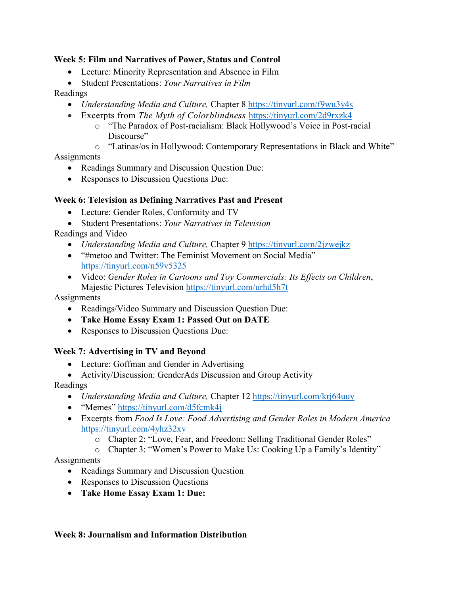## **Week 5: Film and Narratives of Power, Status and Control**

- Lecture: Minority Representation and Absence in Film
- Student Presentations: *Your Narratives in Film*

## Readings

- *Understanding Media and Culture,* Chapter 8 <https://tinyurl.com/f9wu3y4s>
- Excerpts from *The Myth of Colorblindness* <https://tinyurl.com/2d9rxzk4>
	- o "The Paradox of Post-racialism: Black Hollywood's Voice in Post-racial Discourse"
	- o "Latinas/os in Hollywood: Contemporary Representations in Black and White"

## Assignments

- Readings Summary and Discussion Question Due:
- Responses to Discussion Questions Due:

## **Week 6: Television as Defining Narratives Past and Present**

- Lecture: Gender Roles, Conformity and TV
- Student Presentations: *Your Narratives in Television*

Readings and Video

- *Understanding Media and Culture,* Chapter 9 <https://tinyurl.com/2jzwejkz>
- "#metoo and Twitter: The Feminist Movement on Social Media" <https://tinyurl.com/n59v5325>
- Video: *Gender Roles in Cartoons and Toy Commercials: Its Effects on Children*, Majestic Pictures Television<https://tinyurl.com/urhd5h7t>

## **Assignments**

- Readings/Video Summary and Discussion Question Due:
- **Take Home Essay Exam 1: Passed Out on DATE**
- Responses to Discussion Questions Due:

## **Week 7: Advertising in TV and Beyond**

- Lecture: Goffman and Gender in Advertising
- Activity/Discussion: GenderAds Discussion and Group Activity

## Readings

- *Understanding Media and Culture, Chapter 12 https://tinyurl.com/krj64uuy*
- "Memes" <https://tinyurl.com/d5fcmk4j>
- Excerpts from *Food Is Love: Food Advertising and Gender Roles in Modern America* <https://tinyurl.com/4yhz32xv>
	- o Chapter 2: "Love, Fear, and Freedom: Selling Traditional Gender Roles"
	- o Chapter 3: "Women's Power to Make Us: Cooking Up a Family's Identity"

## **Assignments**

- Readings Summary and Discussion Question
- Responses to Discussion Questions
- **Take Home Essay Exam 1: Due:**

## **Week 8: Journalism and Information Distribution**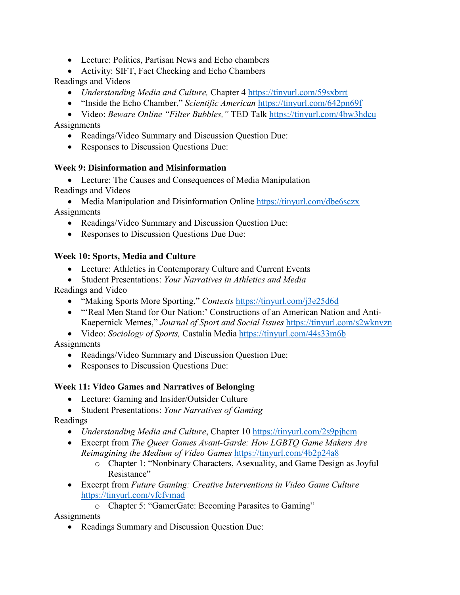- Lecture: Politics, Partisan News and Echo chambers
- Activity: SIFT, Fact Checking and Echo Chambers

Readings and Videos

- *Understanding Media and Culture,* Chapter 4 <https://tinyurl.com/59sxbrrt>
- "Inside the Echo Chamber," *Scientific American* <https://tinyurl.com/642pn69f>

 Video: *Beware Online "Filter Bubbles,"* TED Talk <https://tinyurl.com/4bw3hdcu> **Assignments** 

- Readings/Video Summary and Discussion Question Due:
- Responses to Discussion Questions Due:

## **Week 9: Disinformation and Misinformation**

 Lecture: The Causes and Consequences of Media Manipulation Readings and Videos

• Media Manipulation and Disinformation Online <https://tinyurl.com/dbe6sczx> Assignments

- Readings/Video Summary and Discussion Question Due:
- Responses to Discussion Questions Due Due:

## **Week 10: Sports, Media and Culture**

- Lecture: Athletics in Contemporary Culture and Current Events
- Student Presentations: *Your Narratives in Athletics and Media*

Readings and Video

- "Making Sports More Sporting," *Contexts* <https://tinyurl.com/j3e25d6d>
- "'Real Men Stand for Our Nation:' Constructions of an American Nation and Anti-Kaepernick Memes," *Journal of Sport and Social Issues* <https://tinyurl.com/s2wknvzn>

Video: *Sociology of Sports,* Castalia Media <https://tinyurl.com/44s33m6b>

**Assignments** 

- Readings/Video Summary and Discussion Question Due:
- Responses to Discussion Questions Due:

## **Week 11: Video Games and Narratives of Belonging**

- Lecture: Gaming and Insider/Outsider Culture
- Student Presentations: *Your Narratives of Gaming*

## Readings

- *Understanding Media and Culture*, Chapter 10<https://tinyurl.com/2s9pjhcm>
- Excerpt from *The Queer Games Avant-Garde: How LGBTQ Game Makers Are Reimagining the Medium of Video Games* <https://tinyurl.com/4b2p24a8>
	- o Chapter 1: "Nonbinary Characters, Asexuality, and Game Design as Joyful Resistance"
- Excerpt from *Future Gaming: Creative Interventions in Video Game Culture* <https://tinyurl.com/vfcfvmad>

o Chapter 5: "GamerGate: Becoming Parasites to Gaming"

**Assignments** 

Readings Summary and Discussion Question Due: